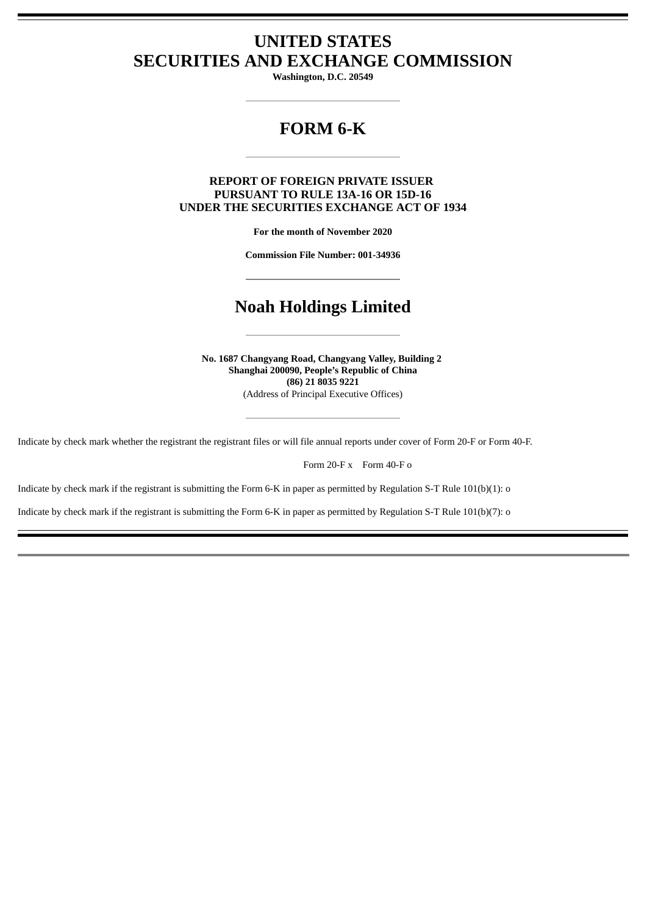## **UNITED STATES SECURITIES AND EXCHANGE COMMISSION**

**Washington, D.C. 20549**

# **FORM 6-K**

## **REPORT OF FOREIGN PRIVATE ISSUER PURSUANT TO RULE 13A-16 OR 15D-16 UNDER THE SECURITIES EXCHANGE ACT OF 1934**

**For the month of November 2020**

**Commission File Number: 001-34936**

## **Noah Holdings Limited**

**No. 1687 Changyang Road, Changyang Valley, Building 2 Shanghai 200090, People's Republic of China (86) 21 8035 9221** (Address of Principal Executive Offices)

Indicate by check mark whether the registrant the registrant files or will file annual reports under cover of Form 20-F or Form 40-F.

Form 20-F x Form 40-F o

Indicate by check mark if the registrant is submitting the Form 6-K in paper as permitted by Regulation S-T Rule 101(b)(1): o

Indicate by check mark if the registrant is submitting the Form 6-K in paper as permitted by Regulation S-T Rule 101(b)(7): o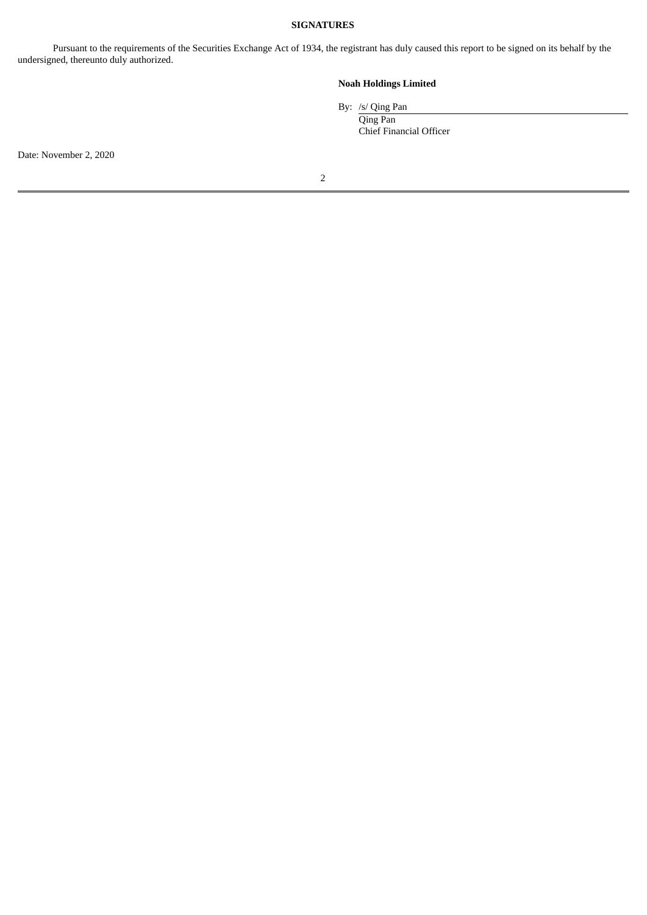#### **SIGNATURES**

Pursuant to the requirements of the Securities Exchange Act of 1934, the registrant has duly caused this report to be signed on its behalf by the undersigned, thereunto duly authorized.

## **Noah Holdings Limited**

By: /s/ Qing Pan

Qing Pan Chief Financial Officer

Date: November 2, 2020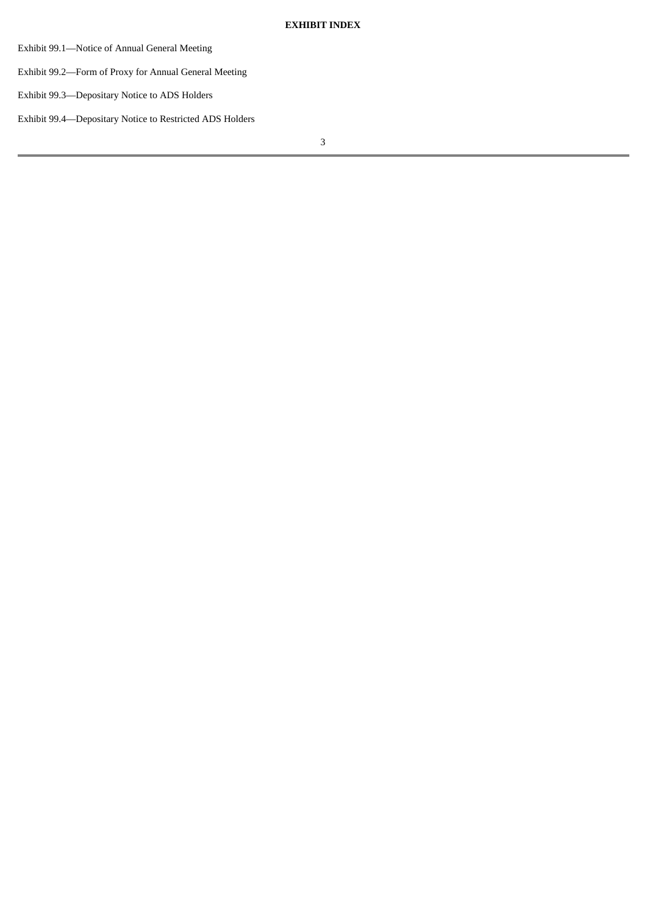- Exhibit 99.1—Notice of Annual General Meeting
- Exhibit 99.2—Form of Proxy for Annual General Meeting
- Exhibit 99.3—Depositary Notice to ADS Holders
- Exhibit 99.4—Depositary Notice to Restricted ADS Holders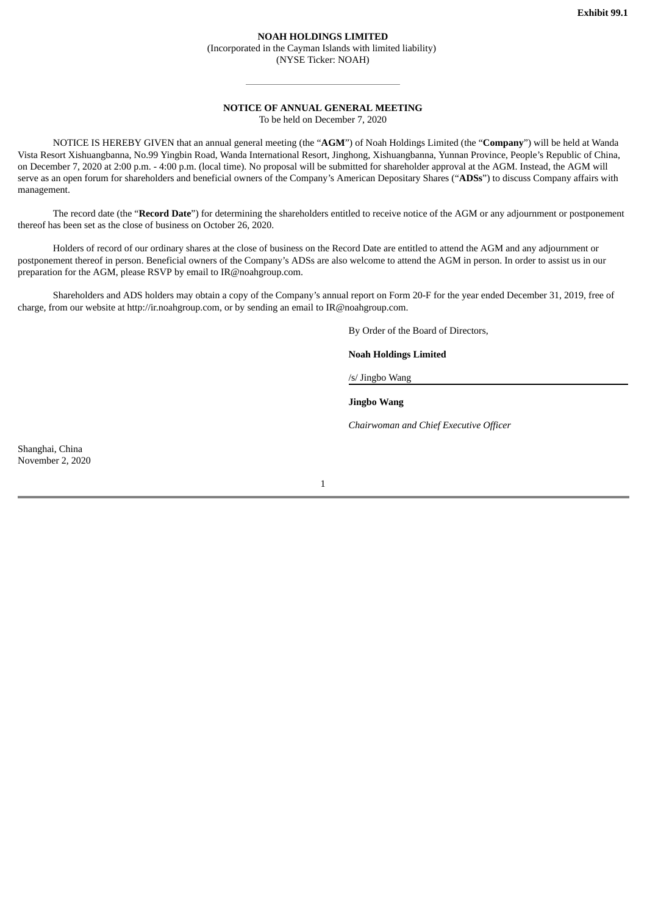#### **NOAH HOLDINGS LIMITED** (Incorporated in the Cayman Islands with limited liability) (NYSE Ticker: NOAH)

#### **NOTICE OF ANNUAL GENERAL MEETING**

To be held on December 7, 2020

NOTICE IS HEREBY GIVEN that an annual general meeting (the "**AGM**") of Noah Holdings Limited (the "**Company**") will be held at Wanda Vista Resort Xishuangbanna, No.99 Yingbin Road, Wanda International Resort, Jinghong, Xishuangbanna, Yunnan Province, People's Republic of China, on December 7, 2020 at 2:00 p.m. - 4:00 p.m. (local time). No proposal will be submitted for shareholder approval at the AGM. Instead, the AGM will serve as an open forum for shareholders and beneficial owners of the Company's American Depositary Shares ("**ADSs**") to discuss Company affairs with management.

The record date (the "**Record Date**") for determining the shareholders entitled to receive notice of the AGM or any adjournment or postponement thereof has been set as the close of business on October 26, 2020.

Holders of record of our ordinary shares at the close of business on the Record Date are entitled to attend the AGM and any adjournment or postponement thereof in person. Beneficial owners of the Company's ADSs are also welcome to attend the AGM in person. In order to assist us in our preparation for the AGM, please RSVP by email to IR@noahgroup.com.

Shareholders and ADS holders may obtain a copy of the Company's annual report on Form 20-F for the year ended December 31, 2019, free of charge, from our website at http://ir.noahgroup.com, or by sending an email to IR@noahgroup.com.

By Order of the Board of Directors,

**Noah Holdings Limited**

/s/ Jingbo Wang

**Jingbo Wang**

*Chairwoman and Chief Executive Officer*

Shanghai, China November 2, 2020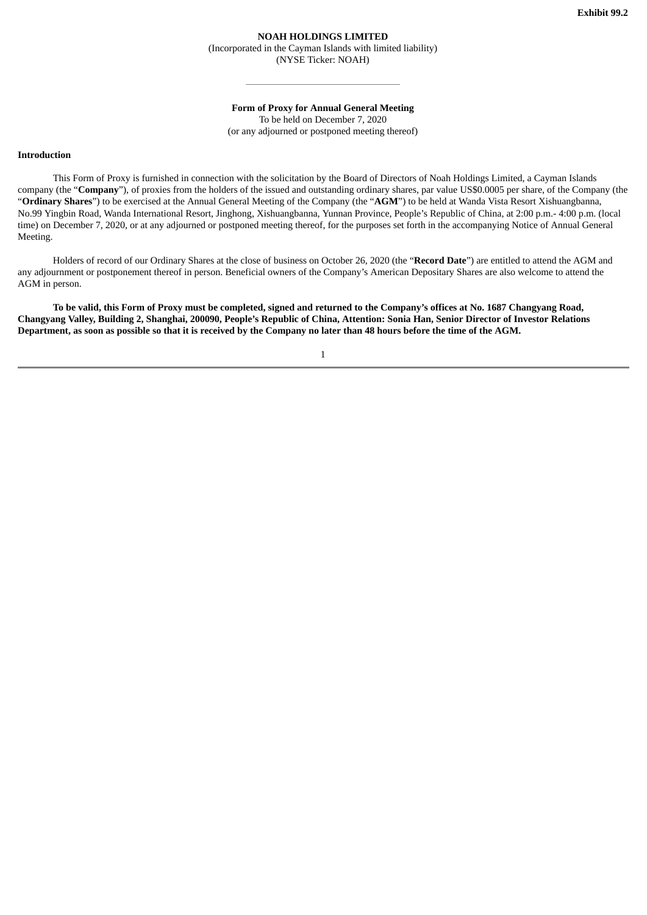## **NOAH HOLDINGS LIMITED**

(Incorporated in the Cayman Islands with limited liability) (NYSE Ticker: NOAH)

**Form of Proxy for Annual General Meeting**

To be held on December 7, 2020 (or any adjourned or postponed meeting thereof)

#### **Introduction**

This Form of Proxy is furnished in connection with the solicitation by the Board of Directors of Noah Holdings Limited, a Cayman Islands company (the "**Company**"), of proxies from the holders of the issued and outstanding ordinary shares, par value US\$0.0005 per share, of the Company (the "**Ordinary Shares**") to be exercised at the Annual General Meeting of the Company (the "**AGM**") to be held at Wanda Vista Resort Xishuangbanna, No.99 Yingbin Road, Wanda International Resort, Jinghong, Xishuangbanna, Yunnan Province, People's Republic of China, at 2:00 p.m.- 4:00 p.m. (local time) on December 7, 2020, or at any adjourned or postponed meeting thereof, for the purposes set forth in the accompanying Notice of Annual General Meeting.

Holders of record of our Ordinary Shares at the close of business on October 26, 2020 (the "**Record Date**") are entitled to attend the AGM and any adjournment or postponement thereof in person. Beneficial owners of the Company's American Depositary Shares are also welcome to attend the AGM in person.

To be valid, this Form of Proxy must be completed, signed and returned to the Company's offices at No. 1687 Changyang Road, Changyang Valley, Building 2, Shanghai, 200090, People's Republic of China, Attention: Sonia Han, Senior Director of Investor Relations Department, as soon as possible so that it is received by the Company no later than 48 hours before the time of the AGM.

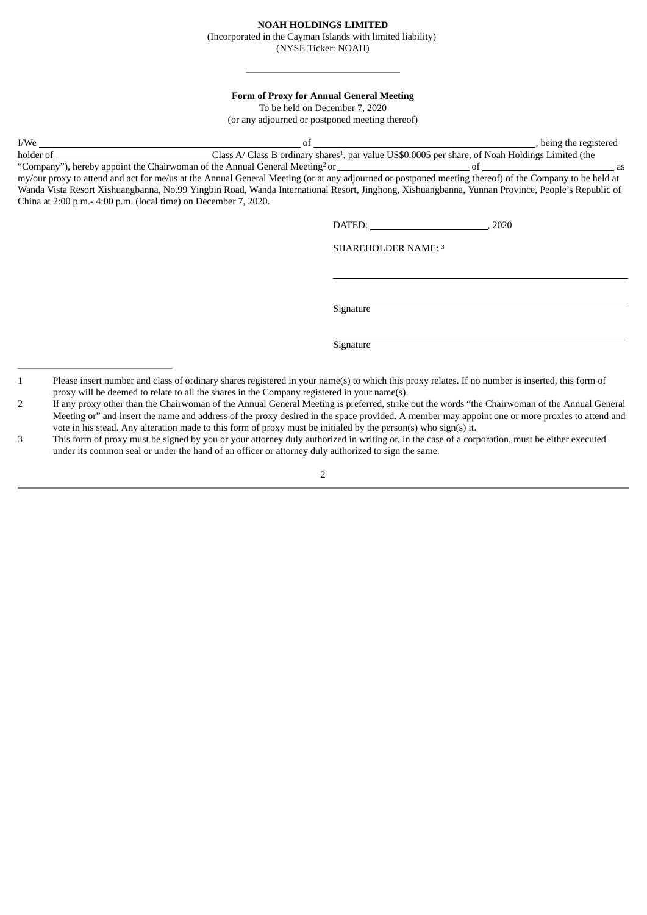### **NOAH HOLDINGS LIMITED**

(Incorporated in the Cayman Islands with limited liability)

(NYSE Ticker: NOAH)

#### **Form of Proxy for Annual General Meeting**

To be held on December 7, 2020

(or any adjourned or postponed meeting thereof)

| I/We                                                                                    |                                                                                                                             | being the registered |
|-----------------------------------------------------------------------------------------|-----------------------------------------------------------------------------------------------------------------------------|----------------------|
| holder of                                                                               | Class A/ Class B ordinary shares <sup>1</sup> , par value US\$0.0005 per share, of Noah Holdings Limited (the               |                      |
| "Company"), hereby appoint the Chairwoman of the Annual General Meeting <sup>2</sup> or |                                                                                                                             | as                   |
|                                                                                         | $\sim L$ , and an interferent and American interference of the state and served and all $\alpha$ and $\alpha$ and a left in |                      |

my/our proxy to attend and act for me/us at the Annual General Meeting (or at any adjourned or postponed meeting thereof) of the Company to be held at Wanda Vista Resort Xishuangbanna, No.99 Yingbin Road, Wanda International Resort, Jinghong, Xishuangbanna, Yunnan Province, People's Republic of China at 2:00 p.m.- 4:00 p.m. (local time) on December 7, 2020.

DATED: 3020

SHAREHOLDER NAME: 3

**Signature** 

**Signature** 

 $\overline{2}$ 

<sup>1</sup> Please insert number and class of ordinary shares registered in your name(s) to which this proxy relates. If no number is inserted, this form of proxy will be deemed to relate to all the shares in the Company registered in your name(s).

<sup>2</sup> If any proxy other than the Chairwoman of the Annual General Meeting is preferred, strike out the words "the Chairwoman of the Annual General Meeting or" and insert the name and address of the proxy desired in the space provided. A member may appoint one or more proxies to attend and vote in his stead. Any alteration made to this form of proxy must be initialed by the person(s) who sign(s) it.

<sup>3</sup> This form of proxy must be signed by you or your attorney duly authorized in writing or, in the case of a corporation, must be either executed under its common seal or under the hand of an officer or attorney duly authorized to sign the same.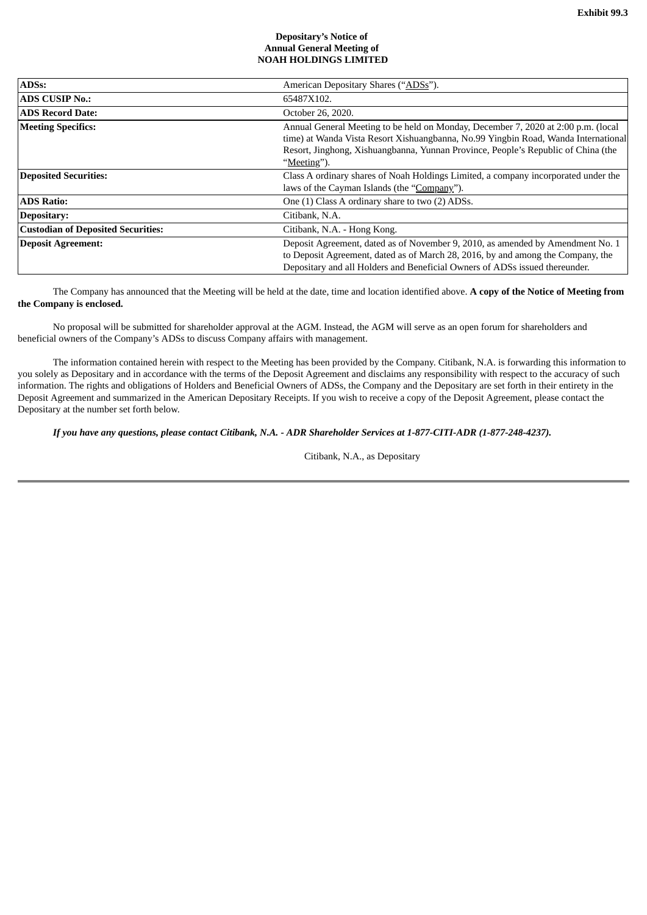#### **Depositary's Notice of Annual General Meeting of NOAH HOLDINGS LIMITED**

| <b>ADSs:</b>                              | American Depositary Shares ("ADSs").                                                                                                                                                                                                                                        |  |
|-------------------------------------------|-----------------------------------------------------------------------------------------------------------------------------------------------------------------------------------------------------------------------------------------------------------------------------|--|
| <b>ADS CUSIP No.:</b>                     | 65487X102.                                                                                                                                                                                                                                                                  |  |
| <b>ADS Record Date:</b>                   | October 26, 2020.                                                                                                                                                                                                                                                           |  |
| <b>Meeting Specifics:</b>                 | Annual General Meeting to be held on Monday, December 7, 2020 at 2:00 p.m. (local<br>time) at Wanda Vista Resort Xishuangbanna, No.99 Yingbin Road, Wanda International<br>Resort, Jinghong, Xishuangbanna, Yunnan Province, People's Republic of China (the<br>"Meeting"). |  |
| <b>Deposited Securities:</b>              | Class A ordinary shares of Noah Holdings Limited, a company incorporated under the<br>laws of the Cayman Islands (the "Company").                                                                                                                                           |  |
| <b>ADS Ratio:</b>                         | One (1) Class A ordinary share to two (2) ADSs.                                                                                                                                                                                                                             |  |
| Depositary:                               | Citibank, N.A.                                                                                                                                                                                                                                                              |  |
| <b>Custodian of Deposited Securities:</b> | Citibank, N.A. - Hong Kong.                                                                                                                                                                                                                                                 |  |
| <b>Deposit Agreement:</b>                 | Deposit Agreement, dated as of November 9, 2010, as amended by Amendment No. 1<br>to Deposit Agreement, dated as of March 28, 2016, by and among the Company, the<br>Depositary and all Holders and Beneficial Owners of ADSs issued thereunder.                            |  |

The Company has announced that the Meeting will be held at the date, time and location identified above. **A copy of the Notice of Meeting from the Company is enclosed.**

No proposal will be submitted for shareholder approval at the AGM. Instead, the AGM will serve as an open forum for shareholders and beneficial owners of the Company's ADSs to discuss Company affairs with management.

The information contained herein with respect to the Meeting has been provided by the Company. Citibank, N.A. is forwarding this information to you solely as Depositary and in accordance with the terms of the Deposit Agreement and disclaims any responsibility with respect to the accuracy of such information. The rights and obligations of Holders and Beneficial Owners of ADSs, the Company and the Depositary are set forth in their entirety in the Deposit Agreement and summarized in the American Depositary Receipts. If you wish to receive a copy of the Deposit Agreement, please contact the Depositary at the number set forth below.

If you have any questions, please contact Citibank, N.A. - ADR Shareholder Services at 1-877-CITI-ADR (1-877-248-4237).

Citibank, N.A., as Depositary